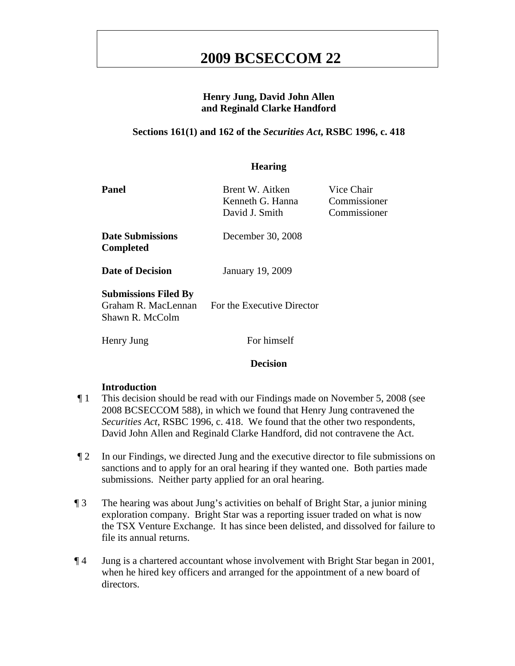### **Henry Jung, David John Allen and Reginald Clarke Handford**

### **Sections 161(1) and 162 of the** *Securities Act***, RSBC 1996, c. 418**

### **Hearing**

| Panel                                                                 | Brent W. Aitken<br>Kenneth G. Hanna<br>David J. Smith | Vice Chair<br>Commissioner<br>Commissioner |
|-----------------------------------------------------------------------|-------------------------------------------------------|--------------------------------------------|
| Date Submissions<br><b>Completed</b>                                  | December 30, 2008                                     |                                            |
| <b>Date of Decision</b>                                               | <b>January 19, 2009</b>                               |                                            |
| <b>Submissions Filed By</b><br>Graham R. MacLennan<br>Shawn R. McColm | For the Executive Director                            |                                            |
| Henry Jung                                                            | For himself                                           |                                            |

#### **Decision**

#### **Introduction**

- ¶ 1 This decision should be read with our Findings made on November 5, 2008 (see 2008 BCSECCOM 588), in which we found that Henry Jung contravened the *Securities Act*, RSBC 1996, c. 418. We found that the other two respondents, David John Allen and Reginald Clarke Handford, did not contravene the Act.
- ¶ 2 In our Findings, we directed Jung and the executive director to file submissions on sanctions and to apply for an oral hearing if they wanted one. Both parties made submissions. Neither party applied for an oral hearing.
- ¶ 3 The hearing was about Jung's activities on behalf of Bright Star, a junior mining exploration company. Bright Star was a reporting issuer traded on what is now the TSX Venture Exchange. It has since been delisted, and dissolved for failure to file its annual returns.
- ¶ 4 Jung is a chartered accountant whose involvement with Bright Star began in 2001, when he hired key officers and arranged for the appointment of a new board of directors.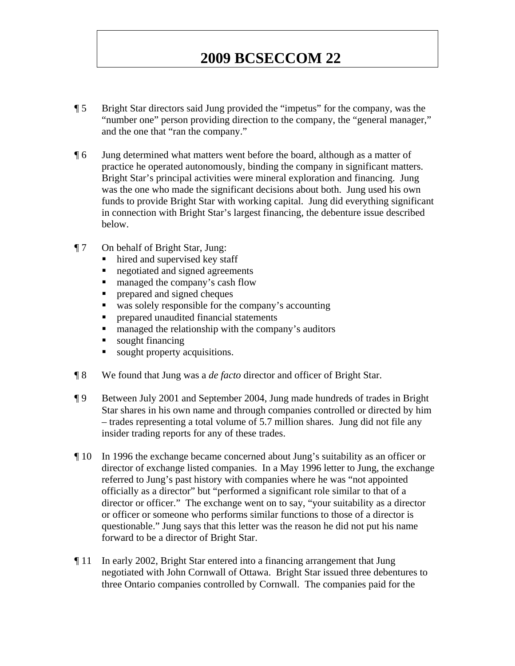- ¶ 5 Bright Star directors said Jung provided the "impetus" for the company, was the "number one" person providing direction to the company, the "general manager," and the one that "ran the company."
- ¶ 6 Jung determined what matters went before the board, although as a matter of practice he operated autonomously, binding the company in significant matters. Bright Star's principal activities were mineral exploration and financing. Jung was the one who made the significant decisions about both. Jung used his own funds to provide Bright Star with working capital. Jung did everything significant in connection with Bright Star's largest financing, the debenture issue described below.
- ¶ 7 On behalf of Bright Star, Jung:
	- hired and supervised key staff
	- negotiated and signed agreements
	- managed the company's cash flow
	- prepared and signed cheques
	- was solely responsible for the company's accounting
	- **Permision** prepared unaudited financial statements
	- managed the relationship with the company's auditors
	- sought financing
	- sought property acquisitions.
- ¶ 8 We found that Jung was a *de facto* director and officer of Bright Star.
- ¶ 9 Between July 2001 and September 2004, Jung made hundreds of trades in Bright Star shares in his own name and through companies controlled or directed by him – trades representing a total volume of 5.7 million shares. Jung did not file any insider trading reports for any of these trades.
- ¶ 10 In 1996 the exchange became concerned about Jung's suitability as an officer or director of exchange listed companies. In a May 1996 letter to Jung, the exchange referred to Jung's past history with companies where he was "not appointed officially as a director" but "performed a significant role similar to that of a director or officer." The exchange went on to say, "your suitability as a director or officer or someone who performs similar functions to those of a director is questionable." Jung says that this letter was the reason he did not put his name forward to be a director of Bright Star.
- ¶ 11 In early 2002, Bright Star entered into a financing arrangement that Jung negotiated with John Cornwall of Ottawa. Bright Star issued three debentures to three Ontario companies controlled by Cornwall. The companies paid for the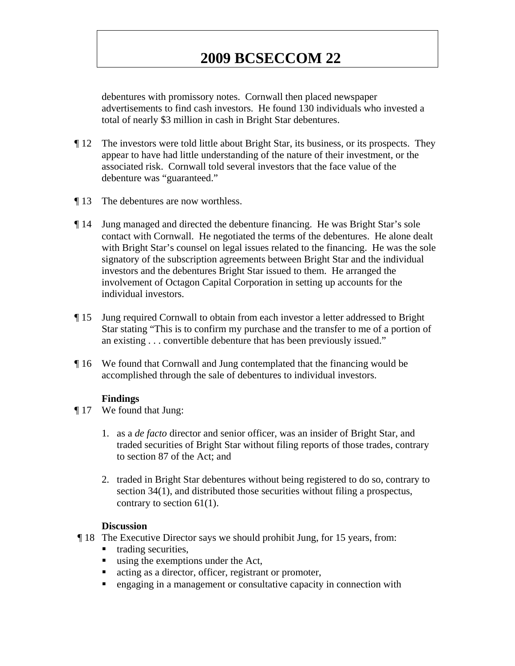debentures with promissory notes. Cornwall then placed newspaper advertisements to find cash investors. He found 130 individuals who invested a total of nearly \$3 million in cash in Bright Star debentures.

- ¶ 12 The investors were told little about Bright Star, its business, or its prospects. They appear to have had little understanding of the nature of their investment, or the associated risk. Cornwall told several investors that the face value of the debenture was "guaranteed."
- ¶ 13 The debentures are now worthless.
- ¶ 14 Jung managed and directed the debenture financing. He was Bright Star's sole contact with Cornwall. He negotiated the terms of the debentures. He alone dealt with Bright Star's counsel on legal issues related to the financing. He was the sole signatory of the subscription agreements between Bright Star and the individual investors and the debentures Bright Star issued to them. He arranged the involvement of Octagon Capital Corporation in setting up accounts for the individual investors.
- ¶ 15 Jung required Cornwall to obtain from each investor a letter addressed to Bright Star stating "This is to confirm my purchase and the transfer to me of a portion of an existing . . . convertible debenture that has been previously issued."
- ¶ 16 We found that Cornwall and Jung contemplated that the financing would be accomplished through the sale of debentures to individual investors.

#### **Findings**

- ¶ 17 We found that Jung:
	- 1. as a *de facto* director and senior officer, was an insider of Bright Star, and traded securities of Bright Star without filing reports of those trades, contrary to section 87 of the Act; and
	- 2. traded in Bright Star debentures without being registered to do so, contrary to section 34(1), and distributed those securities without filing a prospectus, contrary to section 61(1).

#### **Discussion**

- ¶ 18 The Executive Director says we should prohibit Jung, for 15 years, from:
	- trading securities,
	- using the exemptions under the Act,
	- acting as a director, officer, registrant or promoter,
	- engaging in a management or consultative capacity in connection with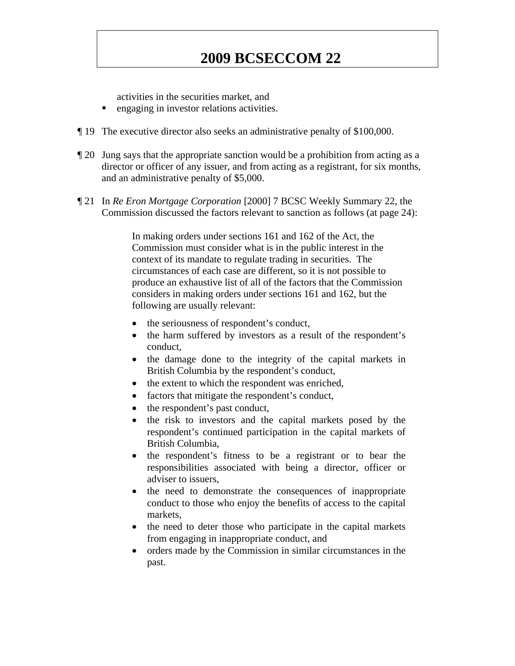activities in the securities market, and

- engaging in investor relations activities.
- ¶ 19 The executive director also seeks an administrative penalty of \$100,000.
- ¶ 20 Jung says that the appropriate sanction would be a prohibition from acting as a director or officer of any issuer, and from acting as a registrant, for six months, and an administrative penalty of \$5,000.
- ¶ 21 In *Re Eron Mortgage Corporation* [2000] 7 BCSC Weekly Summary 22, the Commission discussed the factors relevant to sanction as follows (at page 24):

In making orders under sections 161 and 162 of the Act, the Commission must consider what is in the public interest in the context of its mandate to regulate trading in securities. The circumstances of each case are different, so it is not possible to produce an exhaustive list of all of the factors that the Commission considers in making orders under sections 161 and 162, but the following are usually relevant:

- the seriousness of respondent's conduct,
- the harm suffered by investors as a result of the respondent's conduct,
- the damage done to the integrity of the capital markets in British Columbia by the respondent's conduct,
- the extent to which the respondent was enriched,
- factors that mitigate the respondent's conduct,
- the respondent's past conduct,
- the risk to investors and the capital markets posed by the respondent's continued participation in the capital markets of British Columbia,
- the respondent's fitness to be a registrant or to bear the responsibilities associated with being a director, officer or adviser to issuers,
- the need to demonstrate the consequences of inappropriate conduct to those who enjoy the benefits of access to the capital markets,
- the need to deter those who participate in the capital markets from engaging in inappropriate conduct, and
- orders made by the Commission in similar circumstances in the past.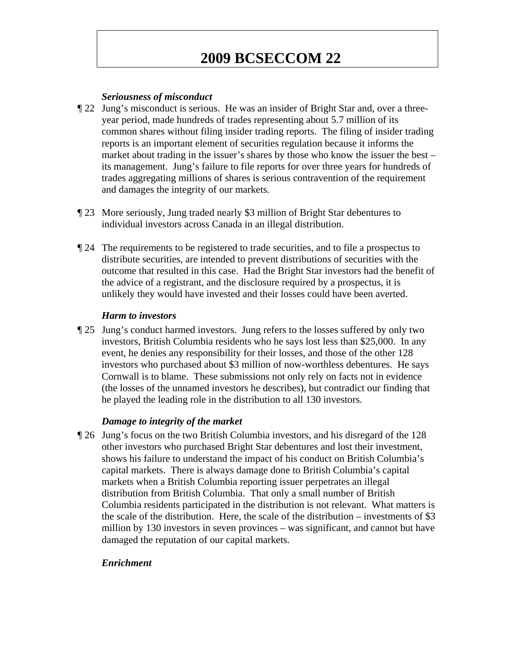### *Seriousness of misconduct*

- ¶ 22 Jung's misconduct is serious. He was an insider of Bright Star and, over a threeyear period, made hundreds of trades representing about 5.7 million of its common shares without filing insider trading reports. The filing of insider trading reports is an important element of securities regulation because it informs the market about trading in the issuer's shares by those who know the issuer the best – its management. Jung's failure to file reports for over three years for hundreds of trades aggregating millions of shares is serious contravention of the requirement and damages the integrity of our markets.
- ¶ 23 More seriously, Jung traded nearly \$3 million of Bright Star debentures to individual investors across Canada in an illegal distribution.
- ¶ 24 The requirements to be registered to trade securities, and to file a prospectus to distribute securities, are intended to prevent distributions of securities with the outcome that resulted in this case. Had the Bright Star investors had the benefit of the advice of a registrant, and the disclosure required by a prospectus, it is unlikely they would have invested and their losses could have been averted.

### *Harm to investors*

¶ 25 Jung's conduct harmed investors. Jung refers to the losses suffered by only two investors, British Columbia residents who he says lost less than \$25,000. In any event, he denies any responsibility for their losses, and those of the other 128 investors who purchased about \$3 million of now-worthless debentures. He says Cornwall is to blame. These submissions not only rely on facts not in evidence (the losses of the unnamed investors he describes), but contradict our finding that he played the leading role in the distribution to all 130 investors.

### *Damage to integrity of the market*

¶ 26 Jung's focus on the two British Columbia investors, and his disregard of the 128 other investors who purchased Bright Star debentures and lost their investment, shows his failure to understand the impact of his conduct on British Columbia's capital markets. There is always damage done to British Columbia's capital markets when a British Columbia reporting issuer perpetrates an illegal distribution from British Columbia. That only a small number of British Columbia residents participated in the distribution is not relevant. What matters is the scale of the distribution. Here, the scale of the distribution – investments of \$3 million by 130 investors in seven provinces – was significant, and cannot but have damaged the reputation of our capital markets.

### *Enrichment*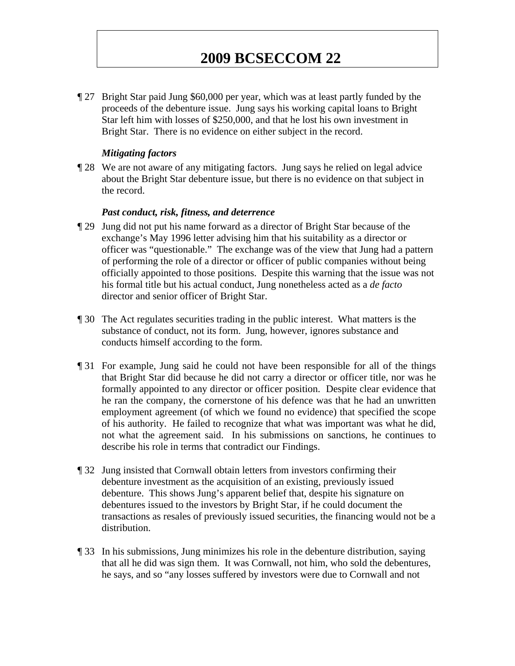¶ 27 Bright Star paid Jung \$60,000 per year, which was at least partly funded by the proceeds of the debenture issue. Jung says his working capital loans to Bright Star left him with losses of \$250,000, and that he lost his own investment in Bright Star. There is no evidence on either subject in the record.

### *Mitigating factors*

¶ 28 We are not aware of any mitigating factors. Jung says he relied on legal advice about the Bright Star debenture issue, but there is no evidence on that subject in the record.

#### *Past conduct, risk, fitness, and deterrence*

- ¶ 29 Jung did not put his name forward as a director of Bright Star because of the exchange's May 1996 letter advising him that his suitability as a director or officer was "questionable." The exchange was of the view that Jung had a pattern of performing the role of a director or officer of public companies without being officially appointed to those positions. Despite this warning that the issue was not his formal title but his actual conduct, Jung nonetheless acted as a *de facto*  director and senior officer of Bright Star.
- ¶ 30 The Act regulates securities trading in the public interest. What matters is the substance of conduct, not its form. Jung, however, ignores substance and conducts himself according to the form.
- ¶ 31 For example, Jung said he could not have been responsible for all of the things that Bright Star did because he did not carry a director or officer title, nor was he formally appointed to any director or officer position. Despite clear evidence that he ran the company, the cornerstone of his defence was that he had an unwritten employment agreement (of which we found no evidence) that specified the scope of his authority. He failed to recognize that what was important was what he did, not what the agreement said. In his submissions on sanctions, he continues to describe his role in terms that contradict our Findings.
- ¶ 32 Jung insisted that Cornwall obtain letters from investors confirming their debenture investment as the acquisition of an existing, previously issued debenture. This shows Jung's apparent belief that, despite his signature on debentures issued to the investors by Bright Star, if he could document the transactions as resales of previously issued securities, the financing would not be a distribution.
- ¶ 33 In his submissions, Jung minimizes his role in the debenture distribution, saying that all he did was sign them. It was Cornwall, not him, who sold the debentures, he says, and so "any losses suffered by investors were due to Cornwall and not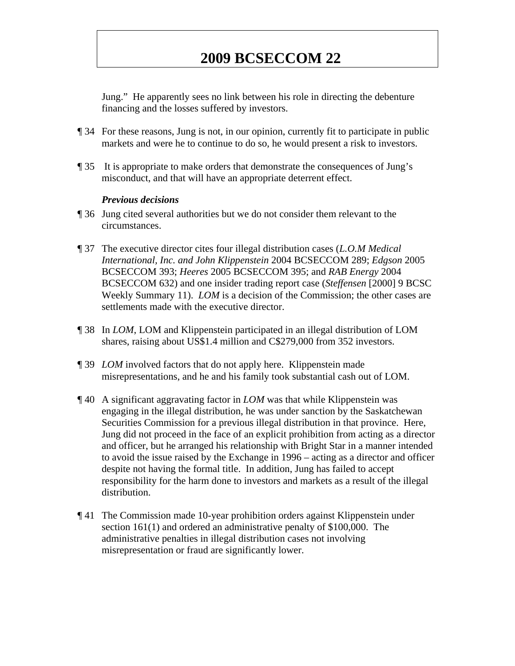Jung." He apparently sees no link between his role in directing the debenture financing and the losses suffered by investors.

- ¶ 34 For these reasons, Jung is not, in our opinion, currently fit to participate in public markets and were he to continue to do so, he would present a risk to investors.
- ¶ 35 It is appropriate to make orders that demonstrate the consequences of Jung's misconduct, and that will have an appropriate deterrent effect.

#### *Previous decisions*

- ¶ 36 Jung cited several authorities but we do not consider them relevant to the circumstances.
- ¶ 37 The executive director cites four illegal distribution cases (*L.O.M Medical International, Inc. and John Klippenstein* 2004 BCSECCOM 289; *Edgson* 2005 BCSECCOM 393; *Heeres* 2005 BCSECCOM 395; and *RAB Energy* 2004 BCSECCOM 632) and one insider trading report case (*Steffensen* [2000] 9 BCSC Weekly Summary 11). *LOM* is a decision of the Commission; the other cases are settlements made with the executive director.
- ¶ 38 In *LOM*, LOM and Klippenstein participated in an illegal distribution of LOM shares, raising about US\$1.4 million and C\$279,000 from 352 investors.
- ¶ 39 *LOM* involved factors that do not apply here. Klippenstein made misrepresentations, and he and his family took substantial cash out of LOM.
- ¶ 40 A significant aggravating factor in *LOM* was that while Klippenstein was engaging in the illegal distribution, he was under sanction by the Saskatchewan Securities Commission for a previous illegal distribution in that province. Here, Jung did not proceed in the face of an explicit prohibition from acting as a director and officer, but he arranged his relationship with Bright Star in a manner intended to avoid the issue raised by the Exchange in 1996 – acting as a director and officer despite not having the formal title. In addition, Jung has failed to accept responsibility for the harm done to investors and markets as a result of the illegal distribution.
- ¶ 41 The Commission made 10-year prohibition orders against Klippenstein under section 161(1) and ordered an administrative penalty of \$100,000. The administrative penalties in illegal distribution cases not involving misrepresentation or fraud are significantly lower.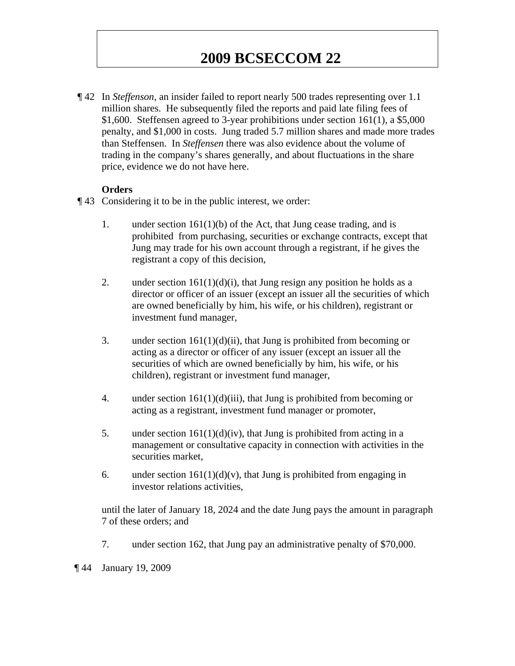¶ 42 In *Steffenson*, an insider failed to report nearly 500 trades representing over 1.1 million shares. He subsequently filed the reports and paid late filing fees of \$1,600. Steffensen agreed to 3-year prohibitions under section 161(1), a \$5,000 penalty, and \$1,000 in costs. Jung traded 5.7 million shares and made more trades than Steffensen. In *Steffensen* there was also evidence about the volume of trading in the company's shares generally, and about fluctuations in the share price, evidence we do not have here.

### **Orders**

- ¶ 43 Considering it to be in the public interest, we order:
	- 1. under section  $161(1)(b)$  of the Act, that Jung cease trading, and is prohibited from purchasing, securities or exchange contracts, except that Jung may trade for his own account through a registrant, if he gives the registrant a copy of this decision,
	- 2. under section  $161(1)(d)(i)$ , that Jung resign any position he holds as a director or officer of an issuer (except an issuer all the securities of which are owned beneficially by him, his wife, or his children), registrant or investment fund manager,
	- 3. under section  $161(1)(d)(ii)$ , that Jung is prohibited from becoming or acting as a director or officer of any issuer (except an issuer all the securities of which are owned beneficially by him, his wife, or his children), registrant or investment fund manager,
	- 4. under section  $161(1)(d)(iii)$ , that Jung is prohibited from becoming or acting as a registrant, investment fund manager or promoter,
	- 5. under section  $161(1)(d)(iv)$ , that Jung is prohibited from acting in a management or consultative capacity in connection with activities in the securities market,
	- 6. under section  $161(1)(d)(v)$ , that Jung is prohibited from engaging in investor relations activities,

until the later of January 18, 2024 and the date Jung pays the amount in paragraph 7 of these orders; and

7. under section 162, that Jung pay an administrative penalty of \$70,000.

¶ 44 January 19, 2009